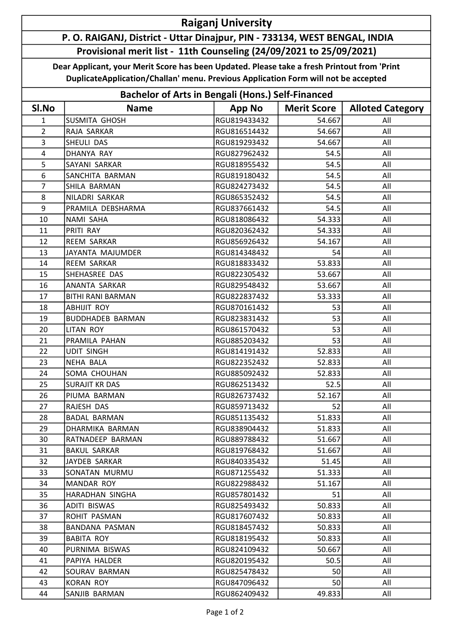## Raiganj University

## P. O. RAIGANJ, District - Uttar Dinajpur, PIN - 733134, WEST BENGAL, INDIA Provisional merit list - 11th Counseling (24/09/2021 to 25/09/2021)

Dear Applicant, your Merit Score has been Updated. Please take a fresh Printout from 'Print DuplicateApplication/Challan' menu. Previous Application Form will not be accepted

| <b>Bachelor of Arts in Bengali (Hons.) Self-Financed</b> |                          |               |                    |                         |  |  |
|----------------------------------------------------------|--------------------------|---------------|--------------------|-------------------------|--|--|
| SI.No                                                    | <b>Name</b>              | <b>App No</b> | <b>Merit Score</b> | <b>Alloted Category</b> |  |  |
| $\mathbf{1}$                                             | <b>SUSMITA GHOSH</b>     | RGU819433432  | 54.667             | All                     |  |  |
| $\overline{2}$                                           | RAJA SARKAR              | RGU816514432  | 54.667             | All                     |  |  |
| 3                                                        | SHEULI DAS               | RGU819293432  | 54.667             | All                     |  |  |
| $\overline{4}$                                           | DHANYA RAY               | RGU827962432  | 54.5               | All                     |  |  |
| 5                                                        | SAYANI SARKAR            | RGU818955432  | 54.5               | All                     |  |  |
| 6                                                        | SANCHITA BARMAN          | RGU819180432  | 54.5               | All                     |  |  |
| $\overline{7}$                                           | SHILA BARMAN             | RGU824273432  | 54.5               | All                     |  |  |
| 8                                                        | NILADRI SARKAR           | RGU865352432  | 54.5               | All                     |  |  |
| 9                                                        | PRAMILA DEBSHARMA        | RGU837661432  | 54.5               | All                     |  |  |
| 10                                                       | NAMI SAHA                | RGU818086432  | 54.333             | All                     |  |  |
| 11                                                       | PRITI RAY                | RGU820362432  | 54.333             | All                     |  |  |
| 12                                                       | <b>REEM SARKAR</b>       | RGU856926432  | 54.167             | All                     |  |  |
| 13                                                       | JAYANTA MAJUMDER         | RGU814348432  | 54                 | All                     |  |  |
| 14                                                       | <b>REEM SARKAR</b>       | RGU818833432  | 53.833             | All                     |  |  |
| 15                                                       | SHEHASREE DAS            | RGU822305432  | 53.667             | All                     |  |  |
| 16                                                       | ANANTA SARKAR            | RGU829548432  | 53.667             | All                     |  |  |
| 17                                                       | <b>BITHI RANI BARMAN</b> | RGU822837432  | 53.333             | All                     |  |  |
| 18                                                       | <b>ABHIJIT ROY</b>       | RGU870161432  | 53                 | All                     |  |  |
| 19                                                       | <b>BUDDHADEB BARMAN</b>  | RGU823831432  | 53                 | All                     |  |  |
| 20                                                       | <b>LITAN ROY</b>         | RGU861570432  | 53                 | All                     |  |  |
| 21                                                       | PRAMILA PAHAN            | RGU885203432  | 53                 | All                     |  |  |
| 22                                                       | <b>UDIT SINGH</b>        | RGU814191432  | 52.833             | All                     |  |  |
| 23                                                       | <b>NEHA BALA</b>         | RGU822352432  | 52.833             | All                     |  |  |
| 24                                                       | SOMA CHOUHAN             | RGU885092432  | 52.833             | All                     |  |  |
| 25                                                       | <b>SURAJIT KR DAS</b>    | RGU862513432  | 52.5               | All                     |  |  |
| 26                                                       | PIUMA BARMAN             | RGU826737432  | 52.167             | All                     |  |  |
| 27                                                       | RAJESH DAS               | RGU859713432  | 52                 | All                     |  |  |
| 28                                                       | <b>BADAL BARMAN</b>      | RGU851135432  | 51.833             | All                     |  |  |
| 29.                                                      | DHARMIKA BARMAN          | RGU838904432  | 51.833             | All                     |  |  |
| 30                                                       | RATNADEEP BARMAN         | RGU889788432  | 51.667             | All                     |  |  |
| 31                                                       | <b>BAKUL SARKAR</b>      | RGU819768432  | 51.667             | All                     |  |  |
| 32                                                       | JAYDEB SARKAR            | RGU840335432  | 51.45              | All                     |  |  |
| 33                                                       | SONATAN MURMU            | RGU871255432  | 51.333             | All                     |  |  |
| 34                                                       | MANDAR ROY               | RGU822988432  | 51.167             | All                     |  |  |
| 35                                                       | HARADHAN SINGHA          | RGU857801432  | 51                 | All                     |  |  |
| 36                                                       | ADITI BISWAS             | RGU825493432  | 50.833             | All                     |  |  |
| 37                                                       | ROHIT PASMAN             | RGU817607432  | 50.833             | All                     |  |  |
| 38                                                       | BANDANA PASMAN           | RGU818457432  | 50.833             | All                     |  |  |
| 39                                                       | <b>BABITA ROY</b>        | RGU818195432  | 50.833             | All                     |  |  |
| 40                                                       | PURNIMA BISWAS           | RGU824109432  | 50.667             | All                     |  |  |
| 41                                                       | PAPIYA HALDER            | RGU820195432  | 50.5               | All                     |  |  |
| 42                                                       | SOURAV BARMAN            | RGU825478432  | 50                 | All                     |  |  |
| 43                                                       | <b>KORAN ROY</b>         | RGU847096432  | 50                 | All                     |  |  |
| 44                                                       | SANJIB BARMAN            | RGU862409432  | 49.833             | All                     |  |  |